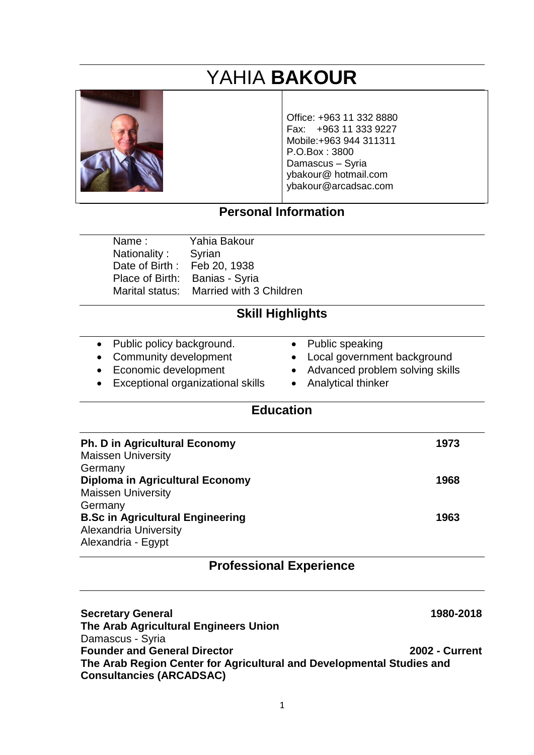# YAHIA **BAKOUR**



Office: +963 11 332 8880 Fax: +963 11 333 9227 Mobile:+963 944 311311 P.O.Box : 3800 Damascus – Syria ybakour@ hotmail.com ybakour@arcadsac.com

## **Personal Information**

Name : Yahia Bakour Nationality : Syrian Date of Birth : Feb 20, 1938 Place of Birth: Banias - Syria

Marital status: Married with 3 Children

## **Skill Highlights**

- Public policy background.
- Community development
- Economic development
- Exceptional organizational skills
- Public speaking
- Local government background
- Advanced problem solving skills
- Analytical thinker

#### **Education**

| <b>Ph. D in Agricultural Economy</b>    | 1973 |
|-----------------------------------------|------|
| <b>Maissen University</b>               |      |
| Germany                                 |      |
| Diploma in Agricultural Economy         | 1968 |
| <b>Maissen University</b>               |      |
| Germany                                 |      |
| <b>B.Sc in Agricultural Engineering</b> | 1963 |
| <b>Alexandria University</b>            |      |
| Alexandria - Egypt                      |      |
|                                         |      |

#### **Professional Experience**

**Secretary General 1980-2018 The Arab Agricultural Engineers Union**  Damascus - Syria **Founder and General Director 2002 - Current The Arab Region Center for Agricultural and Developmental Studies and Consultancies (ARCADSAC)**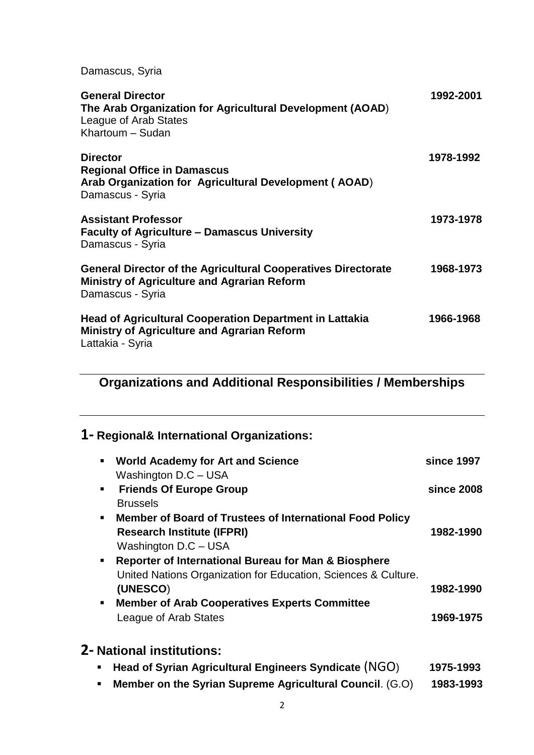Damascus, Syria

| <b>General Director</b><br>The Arab Organization for Agricultural Development (AOAD)<br>League of Arab States<br>Khartoum - Sudan              | 1992-2001 |
|------------------------------------------------------------------------------------------------------------------------------------------------|-----------|
| <b>Director</b><br><b>Regional Office in Damascus</b><br>Arab Organization for Agricultural Development (AOAD)<br>Damascus - Syria             | 1978-1992 |
| <b>Assistant Professor</b><br><b>Faculty of Agriculture – Damascus University</b><br>Damascus - Syria                                          | 1973-1978 |
| <b>General Director of the Agricultural Cooperatives Directorate</b><br><b>Ministry of Agriculture and Agrarian Reform</b><br>Damascus - Syria | 1968-1973 |
| <b>Head of Agricultural Cooperation Department in Lattakia</b><br><b>Ministry of Agriculture and Agrarian Reform</b><br>Lattakia - Syria       | 1966-1968 |

# **Organizations and Additional Responsibilities / Memberships**

## **1- Regional& International Organizations:**

| <b>World Academy for Art and Science</b><br>$\blacksquare$<br>Washington D.C - USA                                                                                                                                             | since 1997 |
|--------------------------------------------------------------------------------------------------------------------------------------------------------------------------------------------------------------------------------|------------|
| <b>Friends Of Europe Group</b><br>$\blacksquare$<br><b>Brussels</b>                                                                                                                                                            | since 2008 |
| <b>Member of Board of Trustees of International Food Policy</b><br>$\blacksquare$<br><b>Research Institute (IFPRI)</b><br>Washington D.C - USA                                                                                 | 1982-1990  |
| Reporter of International Bureau for Man & Biosphere<br>$\blacksquare$<br>United Nations Organization for Education, Sciences & Culture.<br>(UNESCO)<br><b>Member of Arab Cooperatives Experts Committee</b><br>$\blacksquare$ | 1982-1990  |
| League of Arab States                                                                                                                                                                                                          | 1969-1975  |
| <b>2- National institutions:</b>                                                                                                                                                                                               |            |

|  | <b>EXEC</b> Head of Syrian Agricultural Engineers Syndicate $(NGO)$ |  | 1975-1993 |
|--|---------------------------------------------------------------------|--|-----------|
|--|---------------------------------------------------------------------|--|-----------|

▪ **Member on the Syrian Supreme Agricultural Council**. (G.O) **1983-1993**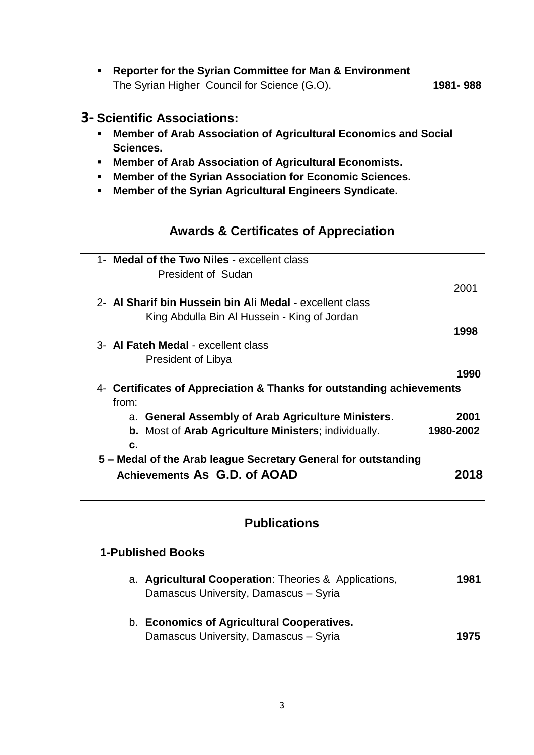▪ **Reporter for the Syrian Committee for Man & Environment**  The Syrian Higher Council for Science (G.O). **1981- 988**

#### **3- Scientific Associations:**

- **Member of Arab Association of Agricultural Economics and Social Sciences.**
- **Member of Arab Association of Agricultural Economists.**
- **Member of the Syrian Association for Economic Sciences.**
- **Member of the Syrian Agricultural Engineers Syndicate.**

#### **Awards & Certificates of Appreciation**

| 1- Medal of the Two Niles - excellent class                           |           |  |
|-----------------------------------------------------------------------|-----------|--|
| <b>President of Sudan</b>                                             |           |  |
|                                                                       | 2001      |  |
| 2- Al Sharif bin Hussein bin Ali Medal - excellent class              |           |  |
| King Abdulla Bin Al Hussein - King of Jordan                          |           |  |
|                                                                       | 1998      |  |
| 3- Al Fateh Medal - excellent class                                   |           |  |
| President of Libya                                                    |           |  |
|                                                                       | 1990      |  |
| 4- Certificates of Appreciation & Thanks for outstanding achievements |           |  |
| from:                                                                 |           |  |
| a. General Assembly of Arab Agriculture Ministers.                    | 2001      |  |
| <b>b.</b> Most of Arab Agriculture Ministers; individually.           | 1980-2002 |  |
| $\mathbf{c}$ .                                                        |           |  |
| 5 - Medal of the Arab league Secretary General for outstanding        |           |  |
| Achievements As G.D. of AOAD                                          | 2018      |  |
|                                                                       |           |  |
|                                                                       |           |  |
|                                                                       |           |  |
| <b>Publications</b>                                                   |           |  |
|                                                                       |           |  |
| <b>1-Published Books</b>                                              |           |  |
| a. Agricultural Cooperation: Theories & Applications,                 | 1981      |  |
| Damascus University, Damascus - Syria                                 |           |  |
|                                                                       |           |  |
|                                                                       |           |  |

b. **Economics of Agricultural Cooperatives.** Damascus University, Damascus – Syria **1975**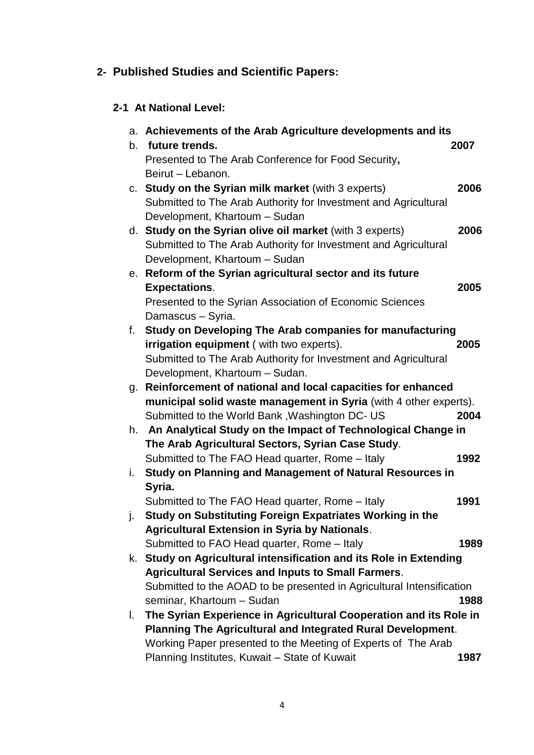## **2- Published Studies and Scientific Papers:**

## **2-1 At National Level:**

|    | a. Achievements of the Arab Agriculture developments and its          |      |
|----|-----------------------------------------------------------------------|------|
|    | b. future trends.                                                     | 2007 |
|    | Presented to The Arab Conference for Food Security,                   |      |
|    | Beirut - Lebanon.                                                     |      |
|    | c. Study on the Syrian milk market (with 3 experts)                   | 2006 |
|    | Submitted to The Arab Authority for Investment and Agricultural       |      |
|    | Development, Khartoum - Sudan                                         |      |
|    | d. Study on the Syrian olive oil market (with 3 experts)              | 2006 |
|    | Submitted to The Arab Authority for Investment and Agricultural       |      |
|    | Development, Khartoum - Sudan                                         |      |
|    | e. Reform of the Syrian agricultural sector and its future            |      |
|    | <b>Expectations.</b>                                                  | 2005 |
|    | Presented to the Syrian Association of Economic Sciences              |      |
|    | Damascus - Syria.                                                     |      |
| f. | Study on Developing The Arab companies for manufacturing              |      |
|    | irrigation equipment (with two experts).                              | 2005 |
|    | Submitted to The Arab Authority for Investment and Agricultural       |      |
|    | Development, Khartoum - Sudan.                                        |      |
| g. | Reinforcement of national and local capacities for enhanced           |      |
|    | municipal solid waste management in Syria (with 4 other experts).     |      |
|    | Submitted to the World Bank, Washington DC- US                        | 2004 |
|    | h. An Analytical Study on the Impact of Technological Change in       |      |
|    | The Arab Agricultural Sectors, Syrian Case Study.                     |      |
|    | Submitted to The FAO Head quarter, Rome - Italy                       | 1992 |
| i. | Study on Planning and Management of Natural Resources in              |      |
|    | Syria.                                                                |      |
|    | Submitted to The FAO Head quarter, Rome - Italy                       | 1991 |
| j. | Study on Substituting Foreign Expatriates Working in the              |      |
|    | <b>Agricultural Extension in Syria by Nationals.</b>                  |      |
|    | Submitted to FAO Head quarter, Rome - Italy                           | 1989 |
| k. | Study on Agricultural intensification and its Role in Extending       |      |
|    | <b>Agricultural Services and Inputs to Small Farmers.</b>             |      |
|    | Submitted to the AOAD to be presented in Agricultural Intensification |      |
|    | seminar, Khartoum - Sudan                                             | 1988 |
| L. | The Syrian Experience in Agricultural Cooperation and its Role in     |      |
|    | Planning The Agricultural and Integrated Rural Development.           |      |
|    | Working Paper presented to the Meeting of Experts of The Arab         |      |
|    | Planning Institutes, Kuwait - State of Kuwait                         | 1987 |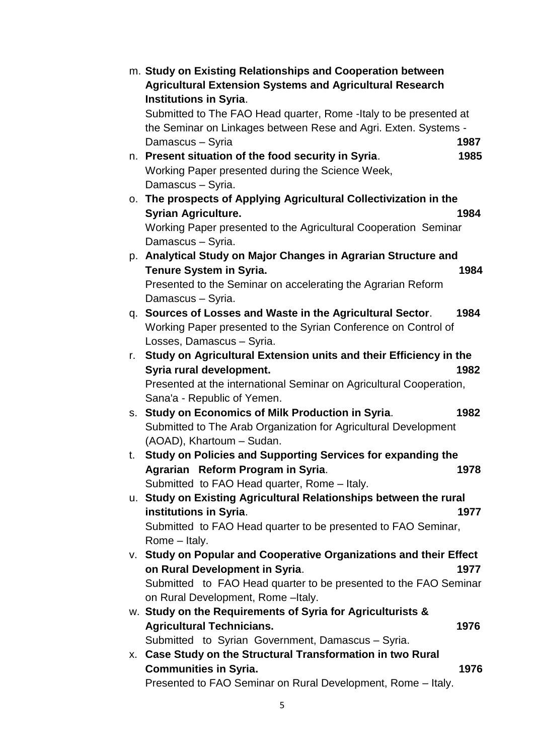|    | m. Study on Existing Relationships and Cooperation between<br><b>Agricultural Extension Systems and Agricultural Research</b> |
|----|-------------------------------------------------------------------------------------------------------------------------------|
|    | <b>Institutions in Syria.</b>                                                                                                 |
|    | Submitted to The FAO Head quarter, Rome - Italy to be presented at                                                            |
|    | the Seminar on Linkages between Rese and Agri. Exten. Systems -                                                               |
|    | Damascus - Syria<br>1987                                                                                                      |
|    | n. Present situation of the food security in Syria.<br>1985                                                                   |
|    | Working Paper presented during the Science Week,                                                                              |
|    | Damascus - Syria.                                                                                                             |
|    | o. The prospects of Applying Agricultural Collectivization in the                                                             |
|    | <b>Syrian Agriculture.</b><br>1984                                                                                            |
|    | Working Paper presented to the Agricultural Cooperation Seminar                                                               |
|    | Damascus - Syria.                                                                                                             |
|    | p. Analytical Study on Major Changes in Agrarian Structure and                                                                |
|    | <b>Tenure System in Syria.</b><br>1984                                                                                        |
|    | Presented to the Seminar on accelerating the Agrarian Reform                                                                  |
|    | Damascus - Syria.                                                                                                             |
|    | q. Sources of Losses and Waste in the Agricultural Sector.<br>1984                                                            |
|    | Working Paper presented to the Syrian Conference on Control of                                                                |
|    | Losses, Damascus - Syria.                                                                                                     |
| r. | Study on Agricultural Extension units and their Efficiency in the                                                             |
|    | Syria rural development.<br>1982                                                                                              |
|    | Presented at the international Seminar on Agricultural Cooperation,                                                           |
|    | Sana'a - Republic of Yemen.                                                                                                   |
|    | s. Study on Economics of Milk Production in Syria.<br>1982                                                                    |
|    | Submitted to The Arab Organization for Agricultural Development                                                               |
|    | (AOAD), Khartoum - Sudan.                                                                                                     |
| t. | <b>Study on Policies and Supporting Services for expanding the</b><br>Agrarian Reform Program in Syria.<br>1978               |
|    | Submitted to FAO Head quarter, Rome - Italy.                                                                                  |
|    | u. Study on Existing Agricultural Relationships between the rural                                                             |
|    | institutions in Syria.<br>1977                                                                                                |
|    | Submitted to FAO Head quarter to be presented to FAO Seminar,                                                                 |
|    | Rome - Italy.                                                                                                                 |
|    | V. Study on Popular and Cooperative Organizations and their Effect                                                            |
|    | on Rural Development in Syria.<br>1977                                                                                        |
|    | Submitted to FAO Head quarter to be presented to the FAO Seminar                                                              |
|    | on Rural Development, Rome - Italy.                                                                                           |
|    | w. Study on the Requirements of Syria for Agriculturists &                                                                    |
|    | <b>Agricultural Technicians.</b><br>1976                                                                                      |
|    | Submitted to Syrian Government, Damascus - Syria.                                                                             |
|    | x. Case Study on the Structural Transformation in two Rural                                                                   |
|    | <b>Communities in Syria.</b><br>1976                                                                                          |
|    | Presented to FAO Seminar on Rural Development, Rome - Italy.                                                                  |
|    |                                                                                                                               |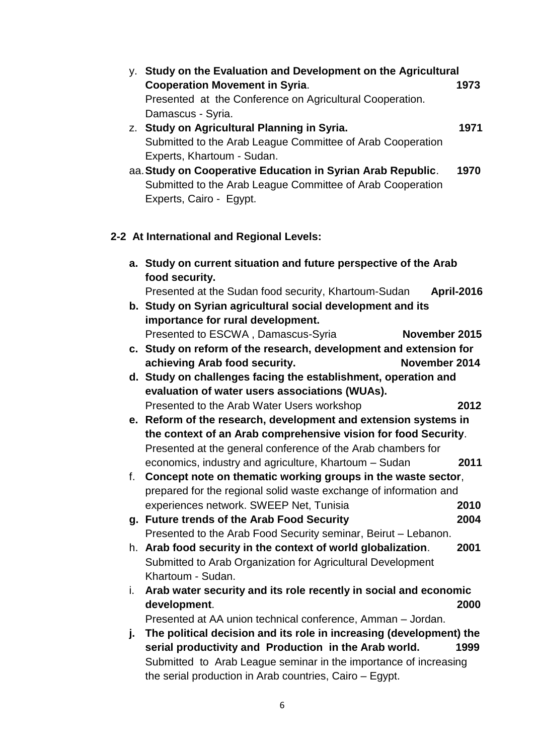| y. Study on the Evaluation and Development on the Agricultural            |      |
|---------------------------------------------------------------------------|------|
| <b>Cooperation Movement in Syria.</b>                                     | 1973 |
| Presented at the Conference on Agricultural Cooperation.                  |      |
| Damascus - Syria.                                                         |      |
| z. Study on Agricultural Planning in Syria.                               | 1971 |
| Submitted to the Arab League Committee of Arab Cooperation                |      |
| Experts, Khartoum - Sudan.                                                |      |
| aa. Study on Cooperative Education in Syrian Arab Republic.               | 1970 |
| Submitted to the Arab League Committee of Arab Cooperation                |      |
| Experts, Cairo - Egypt.                                                   |      |
| 2-2 At International and Regional Levels:                                 |      |
| a. Study on current situation and future perspective of the Arab          |      |
| food security.                                                            |      |
| Presented at the Sudan food security, Khartoum-Sudan<br><b>April-2016</b> |      |
| b. Study on Syrian agricultural social development and its                |      |
| importance for rural development.                                         |      |
| Presented to ESCWA, Damascus-Syria<br>November 2015                       |      |
| c. Study on reform of the research, development and extension for         |      |
| November 2014<br>achieving Arab food security.                            |      |
| d. Study on challenges facing the establishment, operation and            |      |
| evaluation of water users associations (WUAs).                            |      |
| Presented to the Arab Water Users workshop                                | 2012 |
| e. Reform of the research, development and extension systems in           |      |
| the context of an Arab comprehensive vision for food Security.            |      |
| Presented at the general conference of the Arab chambers for              |      |
| economics, industry and agriculture, Khartoum - Sudan                     | 2011 |
| f. Concept note on thematic working groups in the waste sector,           |      |
| prepared for the regional solid waste exchange of information and         |      |
| experiences network. SWEEP Net, Tunisia                                   | 2010 |
| g. Future trends of the Arab Food Security                                | 2004 |
| Presented to the Arab Food Security seminar, Beirut - Lebanon.            |      |
| h. Arab food security in the context of world globalization.              | 2001 |
| Submitted to Arab Organization for Agricultural Development               |      |
| Khartoum - Sudan.                                                         |      |
| Arab water security and its role recently in social and economic<br>i.    |      |
| development.                                                              | 2000 |
| Presented at AA union technical conference, Amman - Jordan.               |      |
| The political decision and its role in increasing (development) the<br>j. |      |
| serial productivity and Production in the Arab world.                     | 1999 |
| Submitted to Arab League seminar in the importance of increasing          |      |
| the serial production in Arab countries, Cairo – Egypt.                   |      |
|                                                                           |      |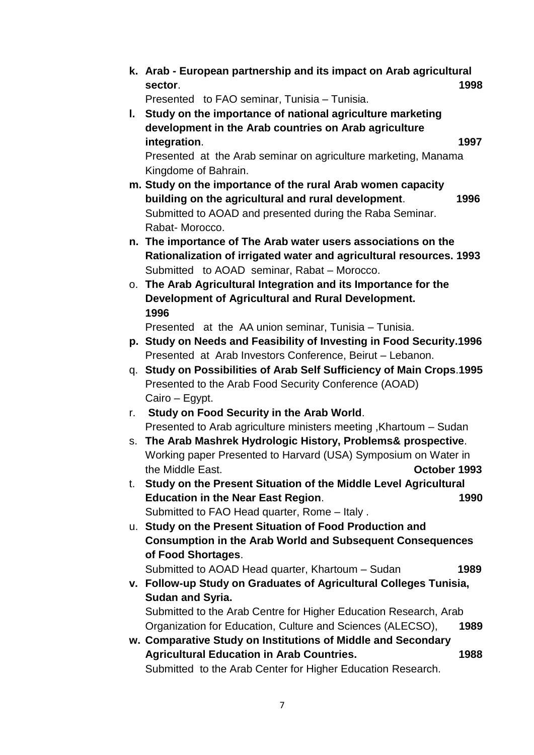**k. Arab - European partnership and its impact on Arab agricultural sector**. **1998** 

Presented to FAO seminar, Tunisia – Tunisia.

**l. Study on the importance of national agriculture marketing development in the Arab countries on Arab agriculture integration**. **1997**

Presented at the Arab seminar on agriculture marketing, Manama Kingdome of Bahrain.

- **m. Study on the importance of the rural Arab women capacity building on the agricultural and rural development**. **1996** Submitted to AOAD and presented during the Raba Seminar. Rabat- Morocco.
- **n. The importance of The Arab water users associations on the Rationalization of irrigated water and agricultural resources. 1993** Submitted to AOAD seminar, Rabat – Morocco.
- o. **The Arab Agricultural Integration and its Importance for the Development of Agricultural and Rural Development. 1996**

Presented at the AA union seminar, Tunisia – Tunisia.

- **p. Study on Needs and Feasibility of Investing in Food Security.1996** Presented at Arab Investors Conference, Beirut – Lebanon.
- q. **Study on Possibilities of Arab Self Sufficiency of Main Crops**.**1995** Presented to the Arab Food Security Conference (AOAD) Cairo – Egypt.
- r. **Study on Food Security in the Arab World**. Presented to Arab agriculture ministers meeting ,Khartoum – Sudan
- s. **The Arab Mashrek Hydrologic History, Problems& prospective**. Working paper Presented to Harvard (USA) Symposium on Water in the Middle East. **October 1993**
- t. **Study on the Present Situation of the Middle Level Agricultural Education in the Near East Region**. **1990** Submitted to FAO Head quarter, Rome – Italy .
- u. **Study on the Present Situation of Food Production and Consumption in the Arab World and Subsequent Consequences of Food Shortages**.

Submitted to AOAD Head quarter, Khartoum – Sudan **1989**

**v. Follow-up Study on Graduates of Agricultural Colleges Tunisia, Sudan and Syria.**

Submitted to the Arab Centre for Higher Education Research, Arab Organization for Education, Culture and Sciences (ALECSO), **1989**

**w. Comparative Study on Institutions of Middle and Secondary Agricultural Education in Arab Countries. 1988** Submitted to the Arab Center for Higher Education Research.